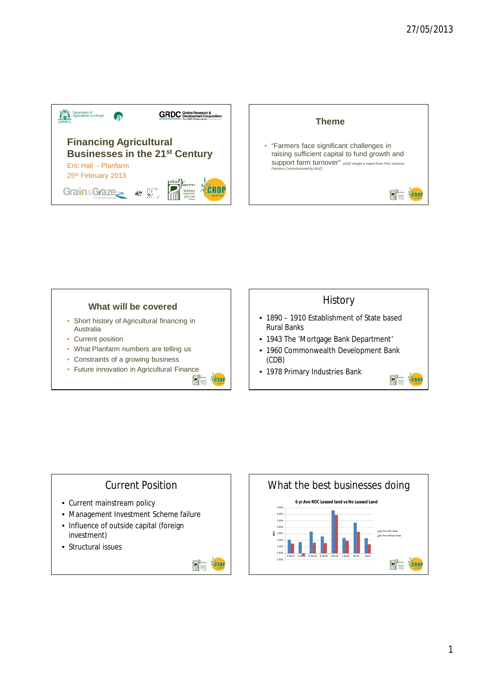1



- Short history of Agricultural financing in Australia
- Current position
- What Planfarm numbers are telling us
- Constraints of a growing business
- Future innovation in Agricultural Finance<br>  $\blacksquare$



### **History**



### **What will be covered**

- 1890 1910 Establishment of State based Rural Banks
- 1943 The 'Mortgage Bank Department'
- 1960 Commonwealth Development Bank (CDB)
- 1978 Primary Industries Bank



## Current Position

- Current mainstream policy
	-
- Management Investment Scheme failure
- Influence of outside capital (foreign investment)
- Structural issues



# What the best businesses doing



#### **6 yr Ave ROC Leased land vs No Leased Land**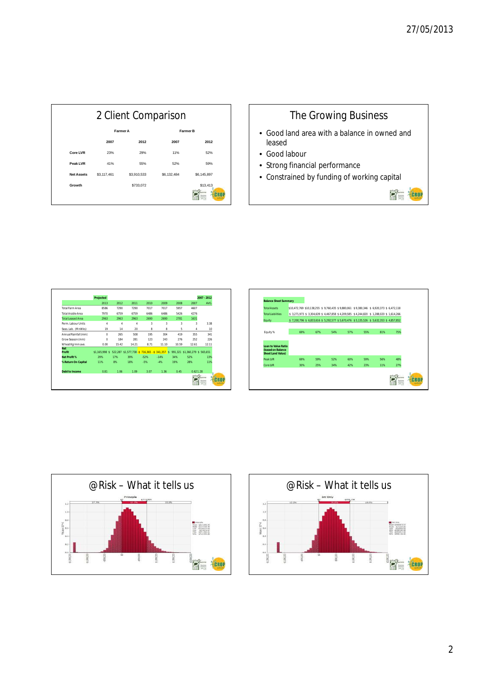2



## The Growing Business • Good land area with a balance in owned and leased • Good labour • Strong financial performance

• Constrained by funding of working capital



 $\sum_{i=1}^{p}$ 

CROP

|                          | Projected                                                                                      |       |       |        |        |       |          | 2007 - 2012                                                                   |
|--------------------------|------------------------------------------------------------------------------------------------|-------|-------|--------|--------|-------|----------|-------------------------------------------------------------------------------|
|                          | 2013                                                                                           | 2012  | 2011  | 2010   | 2009   | 2008  | 2007     | AVG.                                                                          |
| <b>Total Farm Area</b>   | 8586                                                                                           | 7290  | 7290  | 7017   | 7017   | 5957  | 4607     |                                                                               |
| <b>Total Arable Area</b> | 7970                                                                                           | 6759  | 6759  | 6486   | 6486   | 5426  | 4276     |                                                                               |
| <b>Total Leased Area</b> | 2963                                                                                           | 2963  | 2963  | 2690   | 2690   | 2781  | 1631     |                                                                               |
| Perm. Labour Units       | $\overline{4}$                                                                                 | 4     | 4     | 3      | 3      | 3     | 3        | 3.38                                                                          |
| Seas. Lab. (MnWks)       | 19                                                                                             | 14    | 20    | 8      | 8      | 5     | 4        | 10                                                                            |
| Annual Rainfall (mm)     | $\theta$                                                                                       | 265   | 508   | 195    | 304    | 419   | 355      | 341                                                                           |
| Grow Season (mm)         | 0                                                                                              | 184   | 281   | 123    | 243    | 276   | 252      | 226                                                                           |
| Wheat Kg/mm ave.         | 0.00                                                                                           | 15.42 | 14.21 | 8.71   | 11.10  | 10.59 | 12.61    | 12.11                                                                         |
| <b>Net</b><br>Profit     | \$1,165,998 \$ 522,287 \$1,577,738 - \$ 716,365 - \$ 341,357 \$ 991,321 \$1,360,279 \$ 565,651 |       |       |        |        |       |          |                                                                               |
| <b>Net Profit %</b>      | 29%                                                                                            | 17%   | 39%   | $-52%$ | $-14%$ | 34%   | 52%      | 13%                                                                           |
| % Return On Capital      | 11%                                                                                            | 8%    | 18%   | $-5%$  | $-4%$  | 19%   | 28%      | 11%                                                                           |
| Debt to Income           | 0.81                                                                                           | 1.06  | 1.09  | 3.07   | 1.36   | 0.45  | 0.621.28 |                                                                               |
|                          |                                                                                                |       |       |        |        |       | plany    | <b>Grry</b><br><b>Lamm</b><br><b>Information</b><br>print KATH<br><b>WORK</b> |

| <b>Balance Sheet Summary</b> |     |                                                                                            |     |     |     |     |     |  |
|------------------------------|-----|--------------------------------------------------------------------------------------------|-----|-----|-----|-----|-----|--|
| <b>Total Assets</b>          |     | \$10.472.769 \$10.138.255 \$9,760,435 \$9,880,061 \$9,380,346 \$6,920,373 \$6,472,118      |     |     |     |     |     |  |
| <b>Total Liabilities</b>     |     | \$ 3,271,973 \$ 3,304,639 \$ 4,467,858 \$ 4,209,585 \$ 4,244,820 \$ 1,288,020 \$ 1,614,266 |     |     |     |     |     |  |
| Equity                       |     | \$7,200,796 \$6,833,616 \$5,292,577 \$5,670,476 \$5,135,526 \$5,632,353 \$4,857,852        |     |     |     |     |     |  |
|                              |     |                                                                                            |     |     |     |     |     |  |
| Equity %                     | 69% | 67%                                                                                        | 54% | 57% | 55% | 81% | 75% |  |
|                              |     |                                                                                            |     |     |     |     |     |  |
| <b>Loan to Value Ratio</b>   |     |                                                                                            |     |     |     |     |     |  |
| (based on Balance            |     |                                                                                            |     |     |     |     |     |  |
| <b>Sheet Land Value)</b>     |     |                                                                                            |     |     |     |     |     |  |
| Peak LVR                     | 69% | 59%                                                                                        | 52% | 60% | 59% | 56% | 48% |  |
| <b>Core LVR</b>              | 30% | 25%                                                                                        | 34% | 42% | 23% | 11% | 27% |  |
|                              |     |                                                                                            |     |     |     |     |     |  |
|                              |     |                                                                                            |     |     |     |     |     |  |